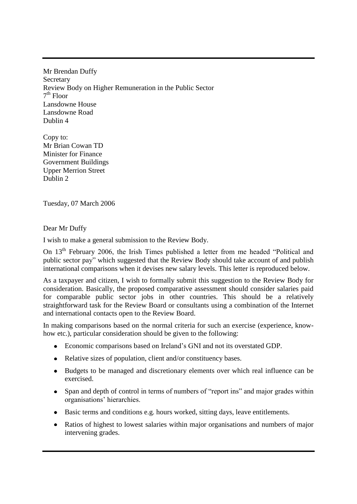Mr Brendan Duffy **Secretary** Review Body on Higher Remuneration in the Public Sector 7 th Floor Lansdowne House Lansdowne Road Dublin 4

Copy to: Mr Brian Cowan TD Minister for Finance Government Buildings Upper Merrion Street Dublin 2

Tuesday, 07 March 2006

Dear Mr Duffy

I wish to make a general submission to the Review Body.

On 13<sup>th</sup> February 2006, the Irish Times published a letter from me headed "Political and public sector pay" which suggested that the Review Body should take account of and publish international comparisons when it devises new salary levels. This letter is reproduced below.

As a taxpayer and citizen, I wish to formally submit this suggestion to the Review Body for consideration. Basically, the proposed comparative assessment should consider salaries paid for comparable public sector jobs in other countries. This should be a relatively straightforward task for the Review Board or consultants using a combination of the Internet and international contacts open to the Review Board.

In making comparisons based on the normal criteria for such an exercise (experience, knowhow etc.), particular consideration should be given to the following:

- Economic comparisons based on Ireland's GNI and not its overstated GDP.
- Relative sizes of population, client and/or constituency bases.
- Budgets to be managed and discretionary elements over which real influence can be exercised.
- Span and depth of control in terms of numbers of "report ins" and major grades within  $\bullet$ organisations' hierarchies.
- Basic terms and conditions e.g. hours worked, sitting days, leave entitlements.
- Ratios of highest to lowest salaries within major organisations and numbers of major intervening grades.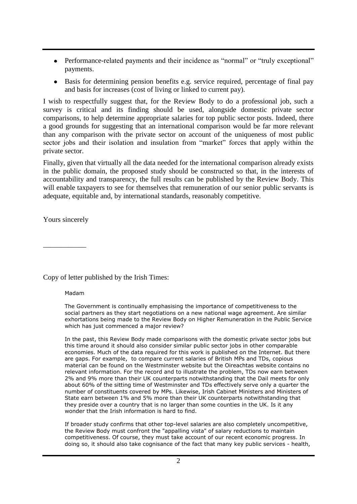- $\bullet$ Performance-related payments and their incidence as "normal" or "truly exceptional" payments.
- Basis for determining pension benefits e.g. service required, percentage of final pay and basis for increases (cost of living or linked to current pay).

I wish to respectfully suggest that, for the Review Body to do a professional job, such a survey is critical and its finding should be used, alongside domestic private sector comparisons, to help determine appropriate salaries for top public sector posts. Indeed, there a good grounds for suggesting that an international comparison would be far more relevant than any comparison with the private sector on account of the uniqueness of most public sector jobs and their isolation and insulation from "market" forces that apply within the private sector.

Finally, given that virtually all the data needed for the international comparison already exists in the public domain, the proposed study should be constructed so that, in the interests of accountability and transparency, the full results can be published by the Review Body. This will enable taxpayers to see for themselves that remuneration of our senior public servants is adequate, equitable and, by international standards, reasonably competitive.

Yours sincerely

\_\_\_\_\_\_\_\_\_\_\_\_

Copy of letter published by the Irish Times:

## Madam

The Government is continually emphasising the importance of competitiveness to the social partners as they start negotiations on a new national wage agreement. Are similar exhortations being made to the Review Body on Higher Remuneration in the Public Service which has just commenced a major review?

In the past, this Review Body made comparisons with the domestic private sector jobs but this time around it should also consider similar public sector jobs in other comparable economies. Much of the data required for this work is published on the Internet. But there are gaps. For example, to compare current salaries of British MPs and TDs, copious material can be found on the Westminster website but the Oireachtas website contains no relevant information. For the record and to illustrate the problem, TDs now earn between 2% and 9% more than their UK counterparts notwithstanding that the Dail meets for only about 60% of the sitting time of Westminster and TDs effectively serve only a quarter the number of constituents covered by MPs. Likewise, Irish Cabinet Ministers and Ministers of State earn between 1% and 5% more than their UK counterparts notwithstanding that they preside over a country that is no larger than some counties in the UK. Is it any wonder that the Irish information is hard to find.

If broader study confirms that other top-level salaries are also completely uncompetitive, the Review Body must confront the "appalling vista" of salary reductions to maintain competitiveness. Of course, they must take account of our recent economic progress. In doing so, it should also take cognisance of the fact that many key public services - health,